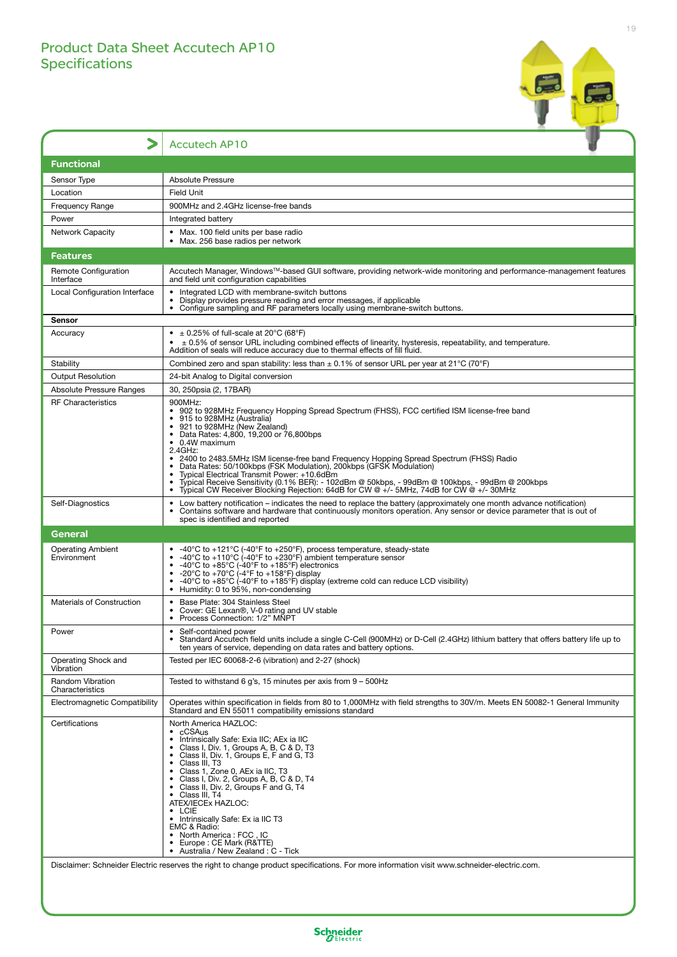## Product Data Sheet Accutech AP10 **Specifications**



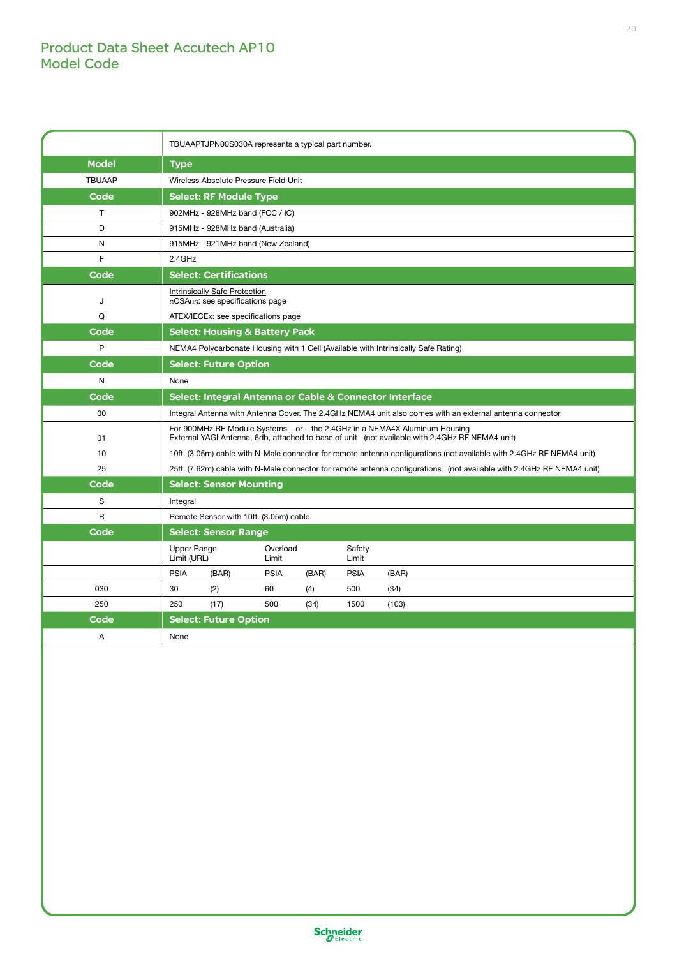## Product Data Sheet Accutech AP10 Model Code

|               | TBUAAPTJPN00S030A represents a typical part number.                                                                                                                           |
|---------------|-------------------------------------------------------------------------------------------------------------------------------------------------------------------------------|
| <b>Model</b>  | <b>Type</b>                                                                                                                                                                   |
| <b>TBUAAP</b> | Wireless Absolute Pressure Field Unit                                                                                                                                         |
| Code          | <b>Select: RF Module Type</b>                                                                                                                                                 |
| T             | 902MHz - 928MHz band (FCC / IC)                                                                                                                                               |
| D             | 915MHz - 928MHz band (Australia)                                                                                                                                              |
| N             | 915MHz - 921MHz band (New Zealand)                                                                                                                                            |
| F             | $2.4$ GHz                                                                                                                                                                     |
| Code          | <b>Select: Certifications</b>                                                                                                                                                 |
| J             | Intrinsically Safe Protection<br>cCSAus: see specifications page                                                                                                              |
| Q             | ATEX/IECEx: see specifications page                                                                                                                                           |
| Code          | <b>Select: Housing &amp; Battery Pack</b>                                                                                                                                     |
| P             | NEMA4 Polycarbonate Housing with 1 Cell (Available with Intrinsically Safe Rating)                                                                                            |
| Code          | <b>Select: Future Option</b>                                                                                                                                                  |
| N             | None                                                                                                                                                                          |
| Code          | Select: Integral Antenna or Cable & Connector Interface                                                                                                                       |
| 00            | Integral Antenna with Antenna Cover. The 2.4GHz NEMA4 unit also comes with an external antenna connector                                                                      |
| 01            | For 900MHz RF Module Systems - or - the 2.4GHz in a NEMA4X Aluminum Housing<br>External YAGI Antenna, 6db, attached to base of unit (not available with 2.4GHz RF NEMA4 unit) |
| 10            | 10ft. (3.05m) cable with N-Male connector for remote antenna configurations (not available with 2.4GHz RF NEMA4 unit)                                                         |
| 25            | 25ft. (7.62m) cable with N-Male connector for remote antenna configurations (not available with 2.4GHz RF NEMA4 unit)                                                         |
| Code          | <b>Select: Sensor Mounting</b>                                                                                                                                                |
| S             | Integral                                                                                                                                                                      |
| R             | Remote Sensor with 10ft. (3.05m) cable                                                                                                                                        |
| Code          | <b>Select: Sensor Range</b>                                                                                                                                                   |
|               | Upper Range<br>Overload<br>Safety<br>Limit (URL)<br>Limit<br>Limit                                                                                                            |
|               | <b>PSIA</b><br>(BAR)<br><b>PSIA</b><br><b>PSIA</b><br>(BAR)<br>(BAR)                                                                                                          |
| 030           | 30<br>(2)<br>60<br>(4)<br>500<br>(34)                                                                                                                                         |
| 250           | 250<br>(17)<br>500<br>(34)<br>1500<br>(103)                                                                                                                                   |
| Code          | <b>Select: Future Option</b>                                                                                                                                                  |
| A             | None                                                                                                                                                                          |